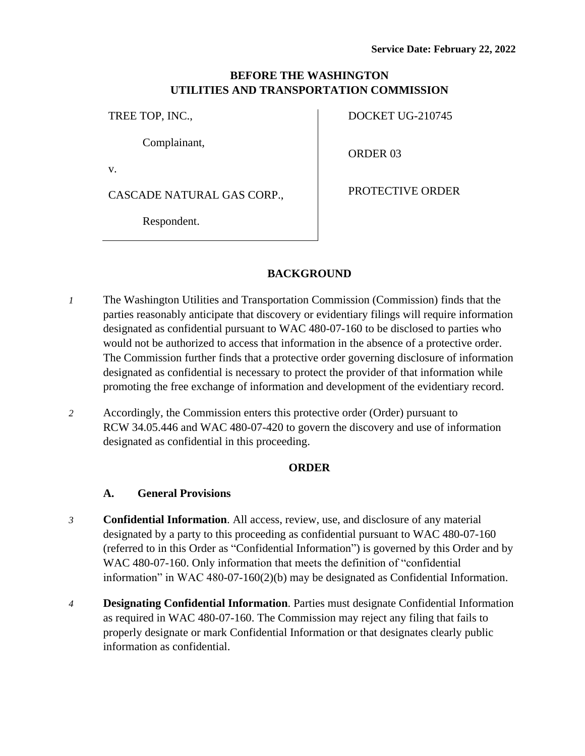## **BEFORE THE WASHINGTON UTILITIES AND TRANSPORTATION COMMISSION**

TREE TOP, INC.,

Complainant,

v.

CASCADE NATURAL GAS CORP.,

Respondent.

DOCKET UG-210745

ORDER 03

PROTECTIVE ORDER

# **BACKGROUND**

- *1* The Washington Utilities and Transportation Commission (Commission) finds that the parties reasonably anticipate that discovery or evidentiary filings will require information designated as confidential pursuant to WAC 480-07-160 to be disclosed to parties who would not be authorized to access that information in the absence of a protective order. The Commission further finds that a protective order governing disclosure of information designated as confidential is necessary to protect the provider of that information while promoting the free exchange of information and development of the evidentiary record.
- *2* Accordingly, the Commission enters this protective order (Order) pursuant to RCW 34.05.446 and WAC 480-07-420 to govern the discovery and use of information designated as confidential in this proceeding.

## **ORDER**

## **A. General Provisions**

- *3* **Confidential Information**. All access, review, use, and disclosure of any material designated by a party to this proceeding as confidential pursuant to WAC 480-07-160 (referred to in this Order as "Confidential Information") is governed by this Order and by WAC 480-07-160. Only information that meets the definition of "confidential information" in WAC 480-07-160(2)(b) may be designated as Confidential Information.
- *4* **Designating Confidential Information**. Parties must designate Confidential Information as required in WAC 480-07-160. The Commission may reject any filing that fails to properly designate or mark Confidential Information or that designates clearly public information as confidential.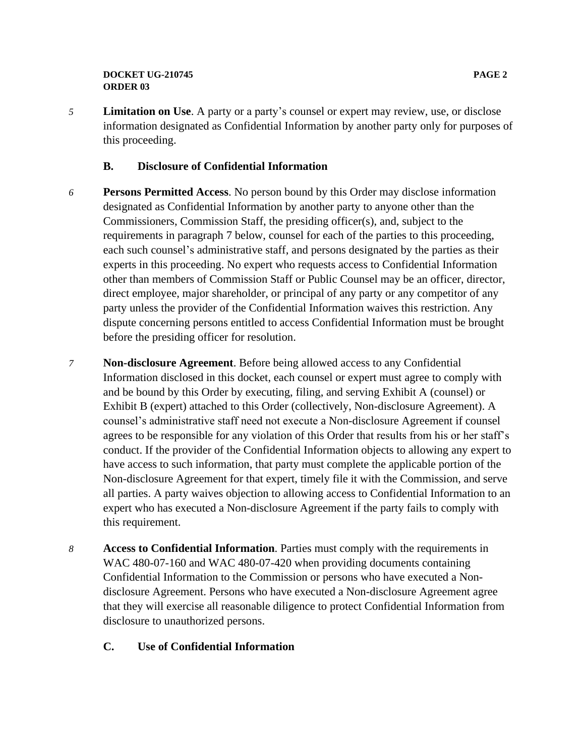*5* **Limitation on Use**. A party or a party's counsel or expert may review, use, or disclose information designated as Confidential Information by another party only for purposes of this proceeding.

### **B. Disclosure of Confidential Information**

- *6* **Persons Permitted Access**. No person bound by this Order may disclose information designated as Confidential Information by another party to anyone other than the Commissioners, Commission Staff, the presiding officer(s), and, subject to the requirements in paragraph 7 below, counsel for each of the parties to this proceeding, each such counsel's administrative staff, and persons designated by the parties as their experts in this proceeding. No expert who requests access to Confidential Information other than members of Commission Staff or Public Counsel may be an officer, director, direct employee, major shareholder, or principal of any party or any competitor of any party unless the provider of the Confidential Information waives this restriction. Any dispute concerning persons entitled to access Confidential Information must be brought before the presiding officer for resolution.
- *7* **Non-disclosure Agreement**. Before being allowed access to any Confidential Information disclosed in this docket, each counsel or expert must agree to comply with and be bound by this Order by executing, filing, and serving Exhibit A (counsel) or Exhibit B (expert) attached to this Order (collectively, Non-disclosure Agreement). A counsel's administrative staff need not execute a Non-disclosure Agreement if counsel agrees to be responsible for any violation of this Order that results from his or her staff's conduct. If the provider of the Confidential Information objects to allowing any expert to have access to such information, that party must complete the applicable portion of the Non-disclosure Agreement for that expert, timely file it with the Commission, and serve all parties. A party waives objection to allowing access to Confidential Information to an expert who has executed a Non-disclosure Agreement if the party fails to comply with this requirement.
- *8* **Access to Confidential Information**. Parties must comply with the requirements in WAC 480-07-160 and WAC 480-07-420 when providing documents containing Confidential Information to the Commission or persons who have executed a Nondisclosure Agreement. Persons who have executed a Non-disclosure Agreement agree that they will exercise all reasonable diligence to protect Confidential Information from disclosure to unauthorized persons.

## **C. Use of Confidential Information**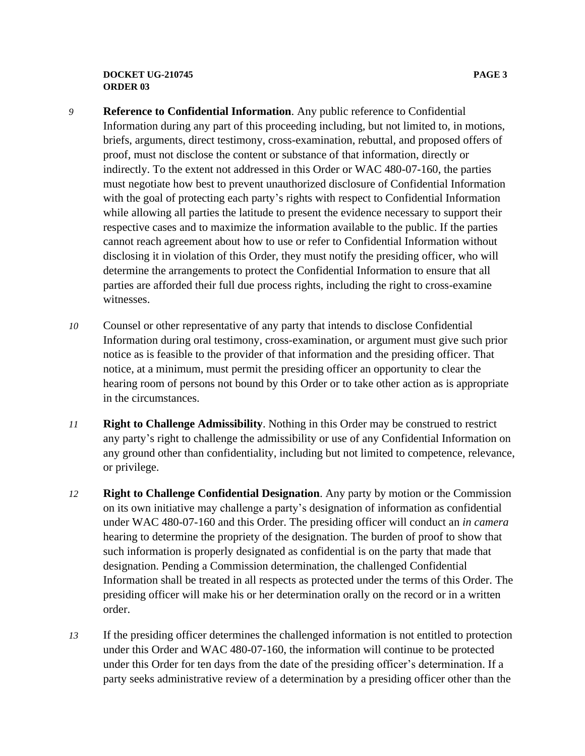#### **DOCKET UG-210745 PAGE 3 ORDER 03**

- *9* **Reference to Confidential Information**. Any public reference to Confidential Information during any part of this proceeding including, but not limited to, in motions, briefs, arguments, direct testimony, cross-examination, rebuttal, and proposed offers of proof, must not disclose the content or substance of that information, directly or indirectly. To the extent not addressed in this Order or WAC 480-07-160, the parties must negotiate how best to prevent unauthorized disclosure of Confidential Information with the goal of protecting each party's rights with respect to Confidential Information while allowing all parties the latitude to present the evidence necessary to support their respective cases and to maximize the information available to the public. If the parties cannot reach agreement about how to use or refer to Confidential Information without disclosing it in violation of this Order, they must notify the presiding officer, who will determine the arrangements to protect the Confidential Information to ensure that all parties are afforded their full due process rights, including the right to cross-examine witnesses.
- *10* Counsel or other representative of any party that intends to disclose Confidential Information during oral testimony, cross-examination, or argument must give such prior notice as is feasible to the provider of that information and the presiding officer. That notice, at a minimum, must permit the presiding officer an opportunity to clear the hearing room of persons not bound by this Order or to take other action as is appropriate in the circumstances.
- *11* **Right to Challenge Admissibility**. Nothing in this Order may be construed to restrict any party's right to challenge the admissibility or use of any Confidential Information on any ground other than confidentiality, including but not limited to competence, relevance, or privilege.
- *12* **Right to Challenge Confidential Designation**. Any party by motion or the Commission on its own initiative may challenge a party's designation of information as confidential under WAC 480-07-160 and this Order. The presiding officer will conduct an *in camera* hearing to determine the propriety of the designation. The burden of proof to show that such information is properly designated as confidential is on the party that made that designation. Pending a Commission determination, the challenged Confidential Information shall be treated in all respects as protected under the terms of this Order. The presiding officer will make his or her determination orally on the record or in a written order.
- *13* If the presiding officer determines the challenged information is not entitled to protection under this Order and WAC 480-07-160, the information will continue to be protected under this Order for ten days from the date of the presiding officer's determination. If a party seeks administrative review of a determination by a presiding officer other than the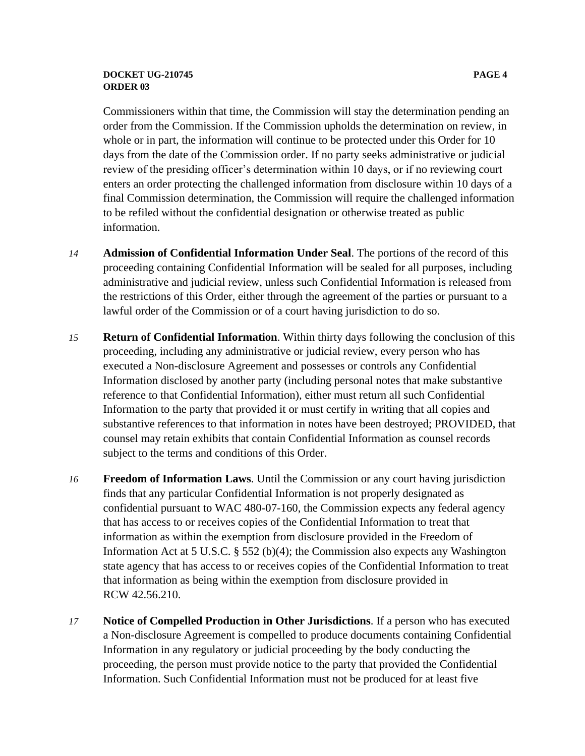#### **DOCKET UG-210745 PAGE 4 ORDER 03**

Commissioners within that time, the Commission will stay the determination pending an order from the Commission. If the Commission upholds the determination on review, in whole or in part, the information will continue to be protected under this Order for 10 days from the date of the Commission order. If no party seeks administrative or judicial review of the presiding officer's determination within 10 days, or if no reviewing court enters an order protecting the challenged information from disclosure within 10 days of a final Commission determination, the Commission will require the challenged information to be refiled without the confidential designation or otherwise treated as public information.

- *14* **Admission of Confidential Information Under Seal**. The portions of the record of this proceeding containing Confidential Information will be sealed for all purposes, including administrative and judicial review, unless such Confidential Information is released from the restrictions of this Order, either through the agreement of the parties or pursuant to a lawful order of the Commission or of a court having jurisdiction to do so.
- *15* **Return of Confidential Information**. Within thirty days following the conclusion of this proceeding, including any administrative or judicial review, every person who has executed a Non-disclosure Agreement and possesses or controls any Confidential Information disclosed by another party (including personal notes that make substantive reference to that Confidential Information), either must return all such Confidential Information to the party that provided it or must certify in writing that all copies and substantive references to that information in notes have been destroyed; PROVIDED, that counsel may retain exhibits that contain Confidential Information as counsel records subject to the terms and conditions of this Order.
- *16* **Freedom of Information Laws**. Until the Commission or any court having jurisdiction finds that any particular Confidential Information is not properly designated as confidential pursuant to WAC 480-07-160, the Commission expects any federal agency that has access to or receives copies of the Confidential Information to treat that information as within the exemption from disclosure provided in the Freedom of Information Act at 5 U.S.C. § 552 (b)(4); the Commission also expects any Washington state agency that has access to or receives copies of the Confidential Information to treat that information as being within the exemption from disclosure provided in RCW 42.56.210.
- *17* **Notice of Compelled Production in Other Jurisdictions**. If a person who has executed a Non-disclosure Agreement is compelled to produce documents containing Confidential Information in any regulatory or judicial proceeding by the body conducting the proceeding, the person must provide notice to the party that provided the Confidential Information. Such Confidential Information must not be produced for at least five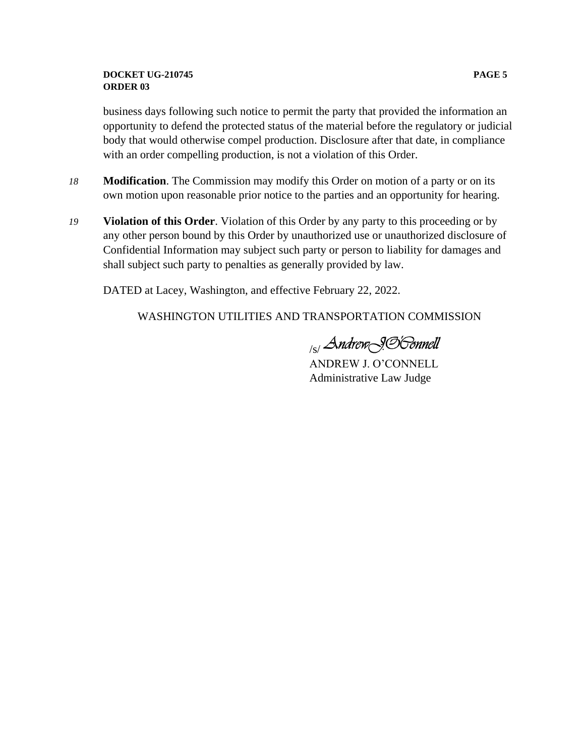#### **DOCKET UG-210745 PAGE 5 ORDER 03**

business days following such notice to permit the party that provided the information an opportunity to defend the protected status of the material before the regulatory or judicial body that would otherwise compel production. Disclosure after that date, in compliance with an order compelling production, is not a violation of this Order.

- *18* **Modification**. The Commission may modify this Order on motion of a party or on its own motion upon reasonable prior notice to the parties and an opportunity for hearing.
- *19* **Violation of this Order**. Violation of this Order by any party to this proceeding or by any other person bound by this Order by unauthorized use or unauthorized disclosure of Confidential Information may subject such party or person to liability for damages and shall subject such party to penalties as generally provided by law.

DATED at Lacey, Washington, and effective February 22, 2022.

WASHINGTON UTILITIES AND TRANSPORTATION COMMISSION

<sub>/s/</sub> Andrew<sub>\</sub>9.S|*Sonnell* 

ANDREW J. O'CONNELL Administrative Law Judge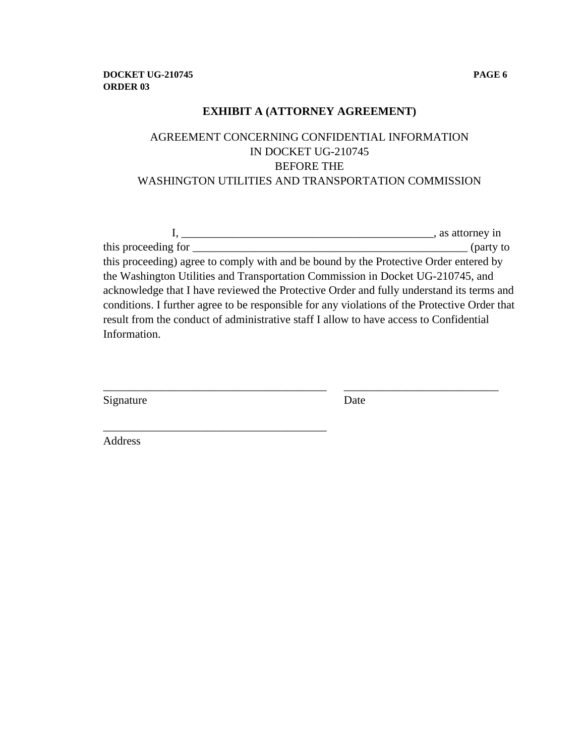## **EXHIBIT A (ATTORNEY AGREEMENT)**

# AGREEMENT CONCERNING CONFIDENTIAL INFORMATION IN DOCKET UG-210745 BEFORE THE WASHINGTON UTILITIES AND TRANSPORTATION COMMISSION

|                                                                                               | sales, as attorney in |
|-----------------------------------------------------------------------------------------------|-----------------------|
| this proceeding for                                                                           | (party to             |
| this proceeding) agree to comply with and be bound by the Protective Order entered by         |                       |
| the Washington Utilities and Transportation Commission in Docket UG-210745, and               |                       |
| acknowledge that I have reviewed the Protective Order and fully understand its terms and      |                       |
| conditions. I further agree to be responsible for any violations of the Protective Order that |                       |
| result from the conduct of administrative staff I allow to have access to Confidential        |                       |
| Information.                                                                                  |                       |
|                                                                                               |                       |

\_\_\_\_\_\_\_\_\_\_\_\_\_\_\_\_\_\_\_\_\_\_\_\_\_\_\_\_\_\_\_\_\_\_\_\_\_\_\_ \_\_\_\_\_\_\_\_\_\_\_\_\_\_\_\_\_\_\_\_\_\_\_\_\_\_\_

\_\_\_\_\_\_\_\_\_\_\_\_\_\_\_\_\_\_\_\_\_\_\_\_\_\_\_\_\_\_\_\_\_\_\_\_\_\_\_

| Signature | Date |
|-----------|------|
|           |      |

Address